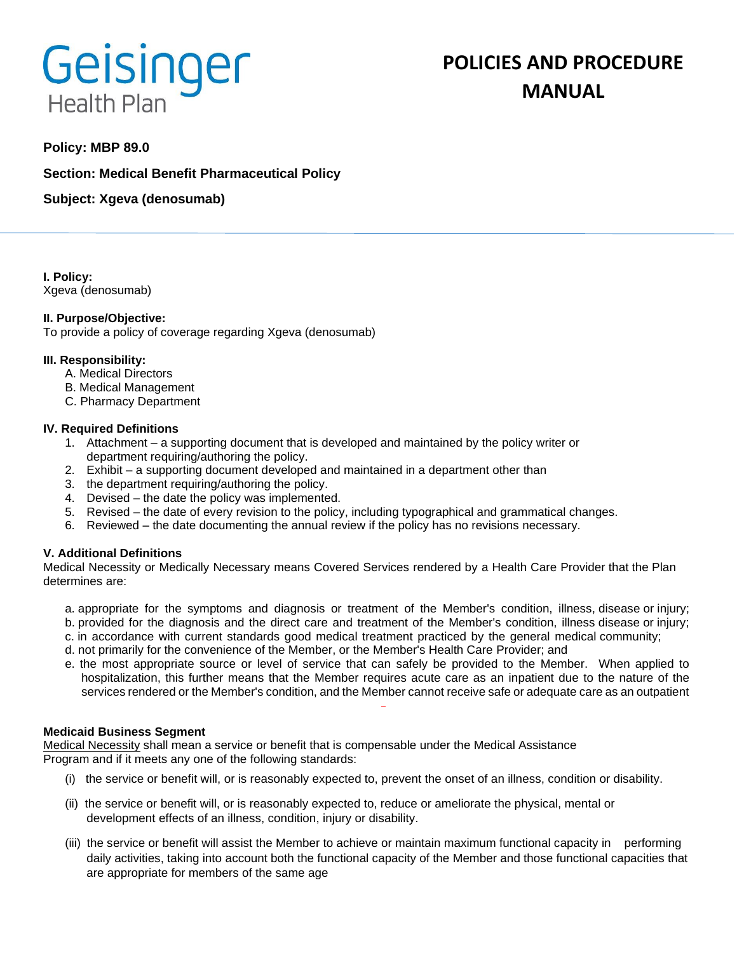# Geisinger **Health Plan**

# **POLICIES AND PROCEDURE MANUAL**

# **Policy: MBP 89.0**

**Section: Medical Benefit Pharmaceutical Policy**

**Subject: Xgeva (denosumab)**

**I. Policy:** Xgeva (denosumab)

### **II. Purpose/Objective:**

To provide a policy of coverage regarding Xgeva (denosumab)

### **III. Responsibility:**

- A. Medical Directors
- B. Medical Management
- C. Pharmacy Department

### **IV. Required Definitions**

- 1. Attachment a supporting document that is developed and maintained by the policy writer or department requiring/authoring the policy.
- 2. Exhibit a supporting document developed and maintained in a department other than
- 3. the department requiring/authoring the policy.
- 4. Devised the date the policy was implemented.
- 5. Revised the date of every revision to the policy, including typographical and grammatical changes.
- 6. Reviewed the date documenting the annual review if the policy has no revisions necessary.

# **V. Additional Definitions**

Medical Necessity or Medically Necessary means Covered Services rendered by a Health Care Provider that the Plan determines are:

- a. appropriate for the symptoms and diagnosis or treatment of the Member's condition, illness, disease or injury; b. provided for the diagnosis and the direct care and treatment of the Member's condition, illness disease or injury;
- c. in accordance with current standards good medical treatment practiced by the general medical community;
- d. not primarily for the convenience of the Member, or the Member's Health Care Provider; and
- e. the most appropriate source or level of service that can safely be provided to the Member. When applied to hospitalization, this further means that the Member requires acute care as an inpatient due to the nature of the services rendered or the Member's condition, and the Member cannot receive safe or adequate care as an outpatient

#### **Medicaid Business Segment**

Medical Necessity shall mean a service or benefit that is compensable under the Medical Assistance Program and if it meets any one of the following standards:

- (i) the service or benefit will, or is reasonably expected to, prevent the onset of an illness, condition or disability.
- (ii) the service or benefit will, or is reasonably expected to, reduce or ameliorate the physical, mental or development effects of an illness, condition, injury or disability.
- (iii) the service or benefit will assist the Member to achieve or maintain maximum functional capacity in performing daily activities, taking into account both the functional capacity of the Member and those functional capacities that are appropriate for members of the same age